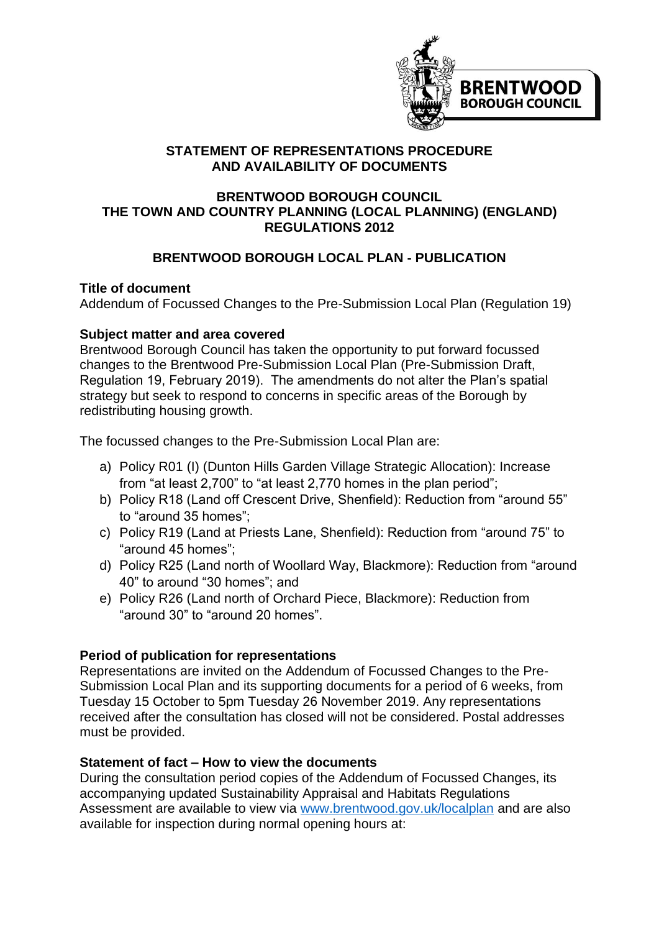

### **STATEMENT OF REPRESENTATIONS PROCEDURE AND AVAILABILITY OF DOCUMENTS**

#### **BRENTWOOD BOROUGH COUNCIL THE TOWN AND COUNTRY PLANNING (LOCAL PLANNING) (ENGLAND) REGULATIONS 2012**

# **BRENTWOOD BOROUGH LOCAL PLAN - PUBLICATION**

### **Title of document**

Addendum of Focussed Changes to the Pre-Submission Local Plan (Regulation 19)

### **Subject matter and area covered**

Brentwood Borough Council has taken the opportunity to put forward focussed changes to the Brentwood Pre-Submission Local Plan (Pre-Submission Draft, Regulation 19, February 2019). The amendments do not alter the Plan's spatial strategy but seek to respond to concerns in specific areas of the Borough by redistributing housing growth.

The focussed changes to the Pre-Submission Local Plan are:

- a) Policy R01 (I) (Dunton Hills Garden Village Strategic Allocation): Increase from "at least 2,700" to "at least 2,770 homes in the plan period";
- b) Policy R18 (Land off Crescent Drive, Shenfield): Reduction from "around 55" to "around 35 homes";
- c) Policy R19 (Land at Priests Lane, Shenfield): Reduction from "around 75" to "around 45 homes";
- d) Policy R25 (Land north of Woollard Way, Blackmore): Reduction from "around 40" to around "30 homes"; and
- e) Policy R26 (Land north of Orchard Piece, Blackmore): Reduction from "around 30" to "around 20 homes".

## **Period of publication for representations**

Representations are invited on the Addendum of Focussed Changes to the Pre-Submission Local Plan and its supporting documents for a period of 6 weeks, from Tuesday 15 October to 5pm Tuesday 26 November 2019. Any representations received after the consultation has closed will not be considered. Postal addresses must be provided.

## **Statement of fact – How to view the documents**

During the consultation period copies of the Addendum of Focussed Changes, its accompanying updated Sustainability Appraisal and Habitats Regulations Assessment are available to view via [www.brentwood.gov.uk/localplan](http://www.brentwood.gov.uk/localplan) and are also available for inspection during normal opening hours at: